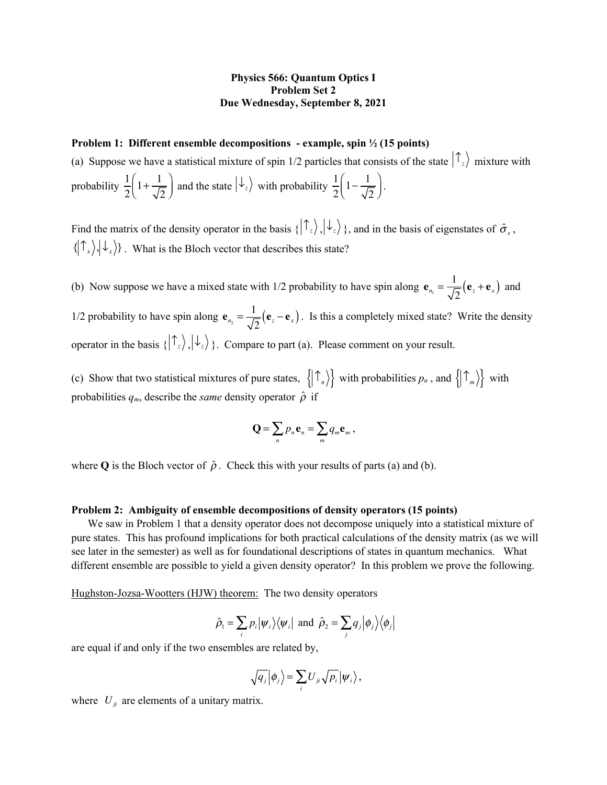## **Physics 566: Quantum Optics I Problem Set 2 Due Wednesday, September 8, 2021**

## **Problem 1: Different ensemble decompositions - example, spin ½ (15 points)**

(a) Suppose we have a statistical mixture of spin 1/2 particles that consists of the state  $\int_{z}^{z}$  mixture with probability  $\frac{1}{2} \left( 1 + \frac{1}{\sqrt{2}} \right)$  and the state  $|\psi_z\rangle$  with probability  $\frac{1}{2} \left( 1 - \frac{1}{\sqrt{2}} \right)$ . 2  $1 + \frac{1}{\sqrt{2}}$ 2  $\sqrt{}$  $\left(1+\frac{1}{\sqrt{2}}\right)$  and the state  $\ket{\downarrow_z}$  with probability  $\frac{1}{2}$ 2  $1-\frac{1}{\sqrt{2}}$ 2  $\big($  $\left(1-\frac{1}{\sqrt{2}}\right)$ 

Find the matrix of the density operator in the basis  $\{\ket{\tau_z}, \ket{\downarrow_z}\}$ , and in the basis of eigenstates of  $\hat{\sigma}_x$ ,  $\{\big| \hat{T}_x \rangle, \psi_x \rangle\}$ . What is the Bloch vector that describes this state?

(b) Now suppose we have a mixed state with 1/2 probability to have spin along  $\mathbf{e}_{n_1} = \frac{1}{\sqrt{2}} (\mathbf{e}_z + \mathbf{e}_x)$  and 1/2 probability to have spin along  $\mathbf{e}_{n_2} = \frac{1}{\sqrt{2}} (\mathbf{e}_z - \mathbf{e}_x)$ . Is this a completely mixed state? Write the density operator in the basis  $\{|\mathcal{T}_z\rangle,|\mathcal{V}_z\rangle\}$ . Compare to part (a). Please comment on your result.

(c) Show that two statistical mixtures of pure states,  $\{|\mathcal{T}_n\rangle\}$  with probabilities  $p_n$ , and  $\{|\mathcal{T}_m\rangle\}$  with probabilities  $q_m$ , describe the *same* density operator  $\hat{\rho}$  if

$$
\mathbf{Q} = \sum_n p_n \mathbf{e}_n = \sum_m q_m \mathbf{e}_m ,
$$

where **Q** is the Bloch vector of  $\hat{\rho}$ . Check this with your results of parts (a) and (b).

## **Problem 2: Ambiguity of ensemble decompositions of density operators (15 points)**

We saw in Problem 1 that a density operator does not decompose uniquely into a statistical mixture of pure states. This has profound implications for both practical calculations of the density matrix (as we will see later in the semester) as well as for foundational descriptions of states in quantum mechanics. What different ensemble are possible to yield a given density operator? In this problem we prove the following.

Hughston-Jozsa-Wootters (HJW) theorem: The two density operators

$$
\hat{\rho}_1 = \sum_i p_i |\psi_i\rangle\langle\psi_i|
$$
 and  $\hat{\rho}_2 = \sum_j q_j |\phi_j\rangle\langle\phi_j|$ 

are equal if and only if the two ensembles are related by,

$$
\sqrt{q_j} |\phi_j\rangle = \sum_i U_{ji} \sqrt{p_i} |\psi_i\rangle,
$$

where  $U_{ji}$  are elements of a unitary matrix.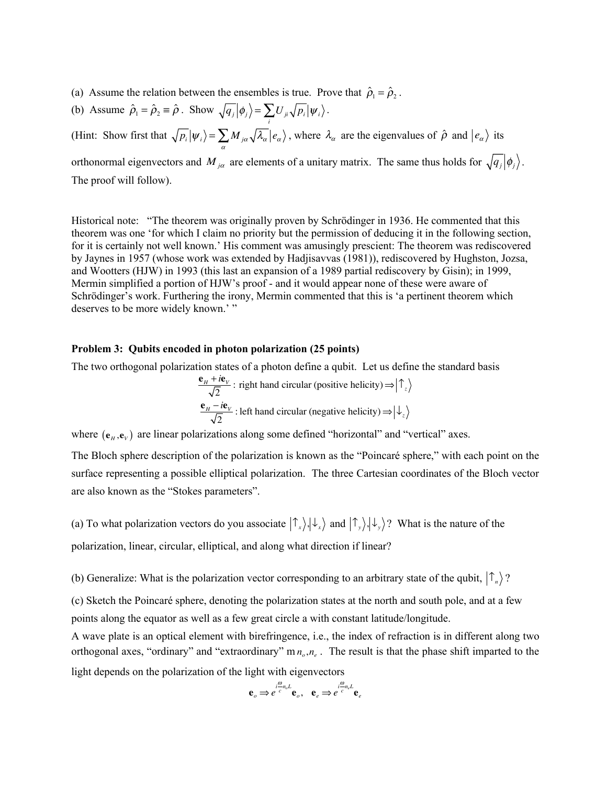- (a) Assume the relation between the ensembles is true. Prove that  $\hat{\rho}_1 = \hat{\rho}_2$ .
- (b) Assume  $\hat{\rho}_1 = \hat{\rho}_2 \equiv \hat{\rho}$ . Show  $\sqrt{q_j} |\phi_j\rangle = \sum U_{ji} \sqrt{p_i} |\psi_i\rangle$ . *i*

(Hint: Show first that  $\sqrt{p_i}|\psi_i\rangle = \sum M_{i\alpha} |\lambda_{\alpha}| e_{\alpha}$ ), where  $\lambda_{\alpha}$  are the eigenvalues of  $\hat{\rho}$  and  $|e_{\alpha}\rangle$  its orthonormal eigenvectors and  $M_{j\alpha}$  are elements of a unitary matrix. The same thus holds for  $\sqrt{q_j} |\phi_j\rangle$ . The proof will follow).  $\overline{p_i}|\psi_i\rangle = \sum_{\alpha} M_{i\alpha} \sqrt{\lambda_{\alpha}} |e_{\alpha}\rangle$ , where  $\lambda_{\alpha}$  are the eigenvalues of  $\hat{\rho}$  and  $|e_{\alpha}\rangle$ 

Historical note: "The theorem was originally proven by Schrödinger in 1936. He commented that this theorem was one 'for which I claim no priority but the permission of deducing it in the following section, for it is certainly not well known.' His comment was amusingly prescient: The theorem was rediscovered by Jaynes in 1957 (whose work was extended by Hadjisavvas (1981)), rediscovered by Hughston, Jozsa, and Wootters (HJW) in 1993 (this last an expansion of a 1989 partial rediscovery by Gisin); in 1999, Mermin simplified a portion of HJW's proof - and it would appear none of these were aware of Schrödinger's work. Furthering the irony, Mermin commented that this is 'a pertinent theorem which deserves to be more widely known.'"

## **Problem 3: Qubits encoded in photon polarization (25 points)**

The two orthogonal polarization states of a photon define a qubit. Let us define the standard basis

$$
\frac{\mathbf{e}_H + i\mathbf{e}_V}{\sqrt{2}}
$$
: right hand circular (positive helicity)  $\Rightarrow |\uparrow_z\rangle$   

$$
\frac{\mathbf{e}_H - i\mathbf{e}_V}{\sqrt{2}}
$$
: left hand circular (negative helicity)  $\Rightarrow |\downarrow_z\rangle$ 

where  $(e_H, e_V)$  are linear polarizations along some defined "horizontal" and "vertical" axes.

The Bloch sphere description of the polarization is known as the "Poincaré sphere," with each point on the surface representing a possible elliptical polarization. The three Cartesian coordinates of the Bloch vector are also known as the "Stokes parameters".

(a) To what polarization vectors do you associate  $(\uparrow_x), \downarrow_x$  and  $(\uparrow_y), \downarrow_y$ ? What is the nature of the polarization, linear, circular, elliptical, and along what direction if linear?

(b) Generalize: What is the polarization vector corresponding to an arbitrary state of the qubit,  $\ket{\uparrow}_n$ ?

(c) Sketch the Poincaré sphere, denoting the polarization states at the north and south pole, and at a few points along the equator as well as a few great circle a with constant latitude/longitude.

A wave plate is an optical element with birefringence, i.e., the index of refraction is in different along two orthogonal axes, "ordinary" and "extraordinary"  $m n_o, n_e$ . The result is that the phase shift imparted to the light depends on the polarization of the light with eigenvectors

$$
\mathbf{e}_o \Longrightarrow e^{i\frac{\theta}{c}n_oL}\mathbf{e}_o, \quad \mathbf{e}_e \Longrightarrow e^{i\frac{\theta}{c}n_eL}\mathbf{e}_e
$$